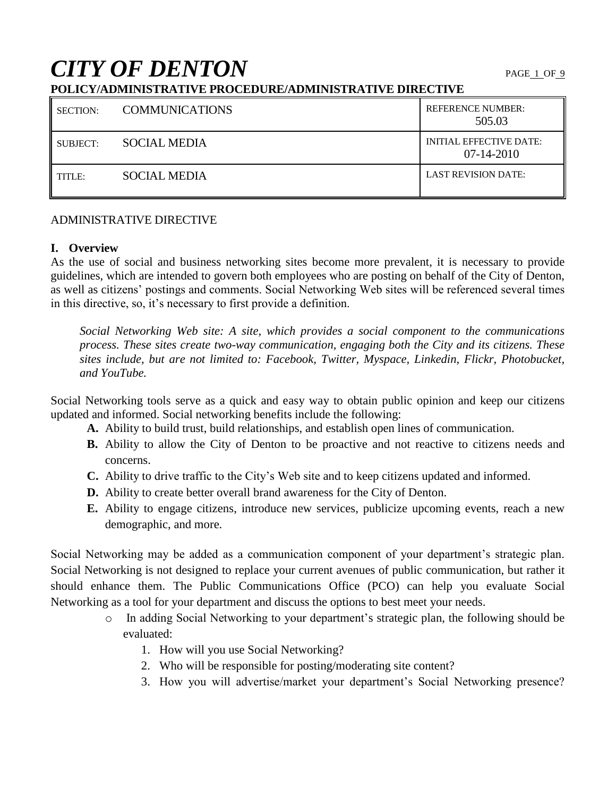# **CITY OF DENTON**

# **POLICY/ADMINISTRATIVE PROCEDURE/ADMINISTRATIVE DIRECTIVE**

| <b>SECTION:</b> | <b>COMMUNICATIONS</b> | <b>REFERENCE NUMBER:</b><br>505.03             |
|-----------------|-----------------------|------------------------------------------------|
| SUBJECT:        | <b>SOCIAL MEDIA</b>   | <b>INITIAL EFFECTIVE DATE:</b><br>$07-14-2010$ |
| TITLE:          | <b>SOCIAL MEDIA</b>   | <b>LAST REVISION DATE:</b>                     |

## ADMINISTRATIVE DIRECTIVE

# **I. Overview**

As the use of social and business networking sites become more prevalent, it is necessary to provide guidelines, which are intended to govern both employees who are posting on behalf of the City of Denton, as well as citizens' postings and comments. Social Networking Web sites will be referenced several times in this directive, so, it's necessary to first provide a definition.

*Social Networking Web site: A site, which provides a social component to the communications process. These sites create two-way communication, engaging both the City and its citizens. These sites include, but are not limited to: Facebook, Twitter, Myspace, Linkedin, Flickr, Photobucket, and YouTube.*

Social Networking tools serve as a quick and easy way to obtain public opinion and keep our citizens updated and informed. Social networking benefits include the following:

- **A.** Ability to build trust, build relationships, and establish open lines of communication.
- **B.** Ability to allow the City of Denton to be proactive and not reactive to citizens needs and concerns.
- **C.** Ability to drive traffic to the City's Web site and to keep citizens updated and informed.
- **D.** Ability to create better overall brand awareness for the City of Denton.
- **E.** Ability to engage citizens, introduce new services, publicize upcoming events, reach a new demographic, and more.

Social Networking may be added as a communication component of your department's strategic plan. Social Networking is not designed to replace your current avenues of public communication, but rather it should enhance them. The Public Communications Office (PCO) can help you evaluate Social Networking as a tool for your department and discuss the options to best meet your needs.

- o In adding Social Networking to your department's strategic plan, the following should be evaluated:
	- 1. How will you use Social Networking?
	- 2. Who will be responsible for posting/moderating site content?
	- 3. How you will advertise/market your department's Social Networking presence?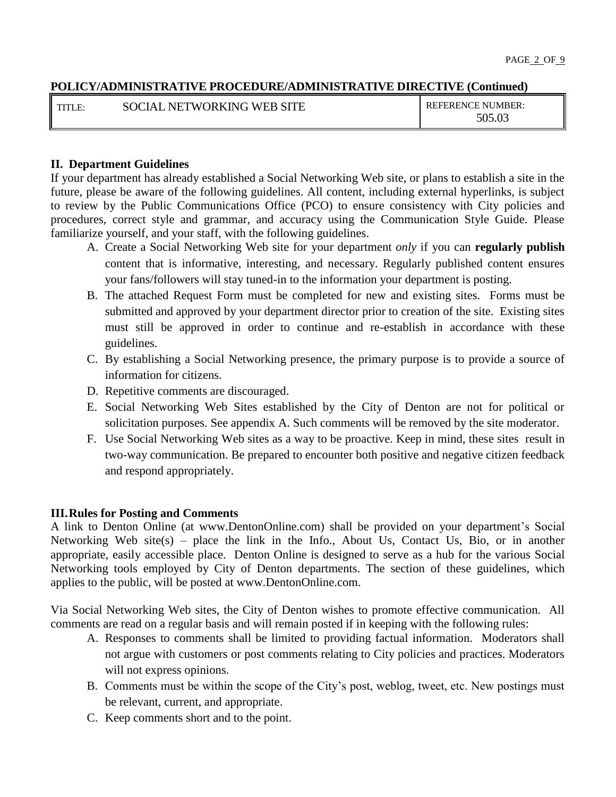| <b>I</b> TITLE: | NETWORKING WEB SITE<br>SOCIAL | <b>REFERENCE NUMBER:</b> |
|-----------------|-------------------------------|--------------------------|
|                 |                               | 505.03                   |

# **II. Department Guidelines**

If your department has already established a Social Networking Web site, or plans to establish a site in the future, please be aware of the following guidelines. All content, including external hyperlinks, is subject to review by the Public Communications Office (PCO) to ensure consistency with City policies and procedures, correct style and grammar, and accuracy using the Communication Style Guide. Please familiarize yourself, and your staff, with the following guidelines.

- A. Create a Social Networking Web site for your department *only* if you can **regularly publish** content that is informative, interesting, and necessary. Regularly published content ensures your fans/followers will stay tuned-in to the information your department is posting.
- B. The attached Request Form must be completed for new and existing sites. Forms must be submitted and approved by your department director prior to creation of the site. Existing sites must still be approved in order to continue and re-establish in accordance with these guidelines.
- C. By establishing a Social Networking presence, the primary purpose is to provide a source of information for citizens.
- D. Repetitive comments are discouraged.
- E. Social Networking Web Sites established by the City of Denton are not for political or solicitation purposes. See appendix A. Such comments will be removed by the site moderator.
- F. Use Social Networking Web sites as a way to be proactive. Keep in mind, these sites result in two-way communication. Be prepared to encounter both positive and negative citizen feedback and respond appropriately.

## **III.Rules for Posting and Comments**

A link to Denton Online (at www.DentonOnline.com) shall be provided on your department's Social Networking Web site(s) – place the link in the Info., About Us, Contact Us, Bio, or in another appropriate, easily accessible place. Denton Online is designed to serve as a hub for the various Social Networking tools employed by City of Denton departments. The section of these guidelines, which applies to the public, will be posted at www.DentonOnline.com.

Via Social Networking Web sites, the City of Denton wishes to promote effective communication. All comments are read on a regular basis and will remain posted if in keeping with the following rules:

- A. Responses to comments shall be limited to providing factual information. Moderators shall not argue with customers or post comments relating to City policies and practices. Moderators will not express opinions.
- B. Comments must be within the scope of the City's post, weblog, tweet, etc. New postings must be relevant, current, and appropriate.
- C. Keep comments short and to the point.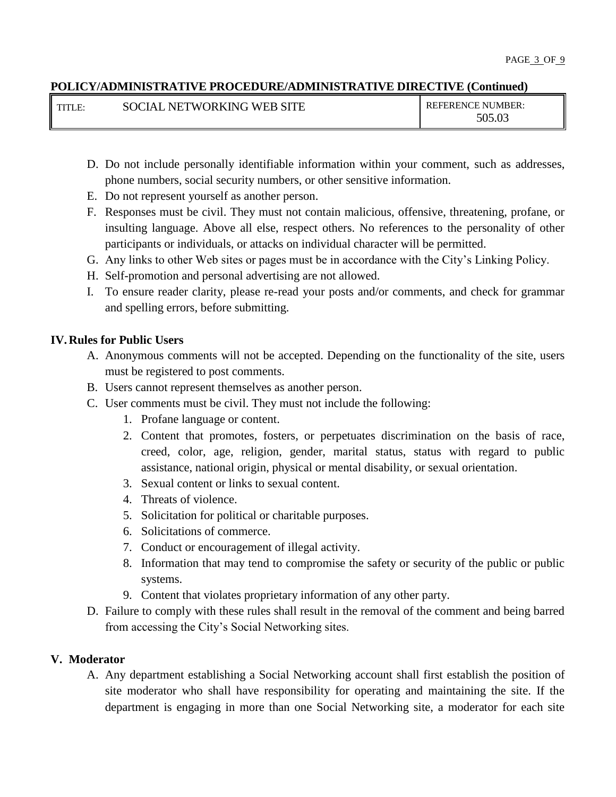| l titi e- | L NETWORKING WEB SITE<br><b>SOCIAL</b> | <b>REFERENCE NUMBER:</b> |
|-----------|----------------------------------------|--------------------------|
|           |                                        | 505.03                   |

- D. Do not include personally identifiable information within your comment, such as addresses, phone numbers, social security numbers, or other sensitive information.
- E. Do not represent yourself as another person.
- F. Responses must be civil. They must not contain malicious, offensive, threatening, profane, or insulting language. Above all else, respect others. No references to the personality of other participants or individuals, or attacks on individual character will be permitted.
- G. Any links to other Web sites or pages must be in accordance with the City's Linking Policy.
- H. Self-promotion and personal advertising are not allowed.
- I. To ensure reader clarity, please re-read your posts and/or comments, and check for grammar and spelling errors, before submitting.

## **IV.Rules for Public Users**

- A. Anonymous comments will not be accepted. Depending on the functionality of the site, users must be registered to post comments.
- B. Users cannot represent themselves as another person.
- C. User comments must be civil. They must not include the following:
	- 1. Profane language or content.
	- 2. Content that promotes, fosters, or perpetuates discrimination on the basis of race, creed, color, age, religion, gender, marital status, status with regard to public assistance, national origin, physical or mental disability, or sexual orientation.
	- 3. Sexual content or links to sexual content.
	- 4. Threats of violence.
	- 5. Solicitation for political or charitable purposes.
	- 6. Solicitations of commerce.
	- 7. Conduct or encouragement of illegal activity.
	- 8. Information that may tend to compromise the safety or security of the public or public systems.
	- 9. Content that violates proprietary information of any other party.
- D. Failure to comply with these rules shall result in the removal of the comment and being barred from accessing the City's Social Networking sites.

## **V. Moderator**

A. Any department establishing a Social Networking account shall first establish the position of site moderator who shall have responsibility for operating and maintaining the site. If the department is engaging in more than one Social Networking site, a moderator for each site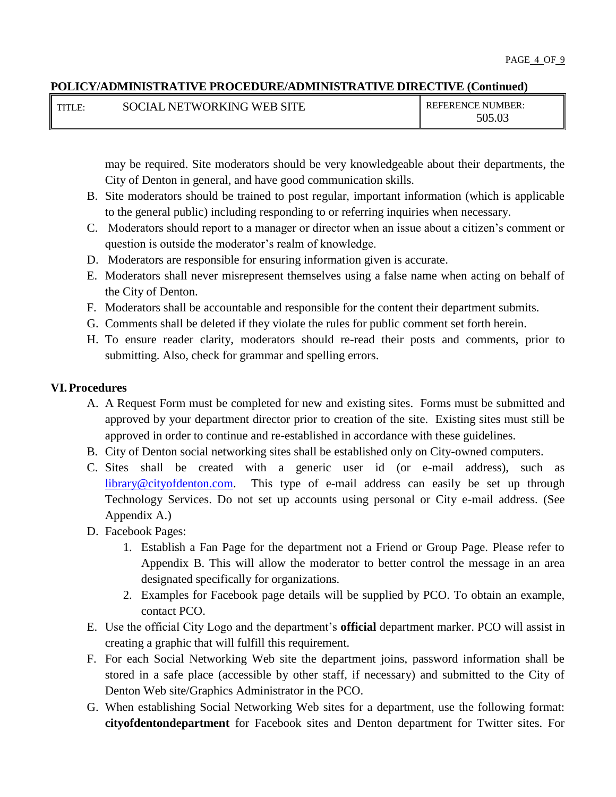| <b>I</b> TITLE: | SOCIAL NETWORKING WEB SITE | <b>REFERENCE NUMBER:</b> |
|-----------------|----------------------------|--------------------------|
|                 |                            | 505.03                   |

may be required. Site moderators should be very knowledgeable about their departments, the City of Denton in general, and have good communication skills.

- B. Site moderators should be trained to post regular, important information (which is applicable to the general public) including responding to or referring inquiries when necessary.
- C. Moderators should report to a manager or director when an issue about a citizen's comment or question is outside the moderator's realm of knowledge.
- D. Moderators are responsible for ensuring information given is accurate.
- E. Moderators shall never misrepresent themselves using a false name when acting on behalf of the City of Denton.
- F. Moderators shall be accountable and responsible for the content their department submits.
- G. Comments shall be deleted if they violate the rules for public comment set forth herein.
- H. To ensure reader clarity, moderators should re-read their posts and comments, prior to submitting. Also, check for grammar and spelling errors.

# **VI.Procedures**

- A. A Request Form must be completed for new and existing sites. Forms must be submitted and approved by your department director prior to creation of the site. Existing sites must still be approved in order to continue and re-established in accordance with these guidelines.
- B. City of Denton social networking sites shall be established only on City-owned computers.
- C. Sites shall be created with a generic user id (or e-mail address), such as [library@cityofdenton.com.](mailto:library@cityofdenton.com) This type of e-mail address can easily be set up through Technology Services. Do not set up accounts using personal or City e-mail address. (See Appendix A.)
- D. Facebook Pages:
	- 1. Establish a Fan Page for the department not a Friend or Group Page. Please refer to Appendix B. This will allow the moderator to better control the message in an area designated specifically for organizations.
	- 2. Examples for Facebook page details will be supplied by PCO. To obtain an example, contact PCO.
- E. Use the official City Logo and the department's **official** department marker. PCO will assist in creating a graphic that will fulfill this requirement.
- F. For each Social Networking Web site the department joins, password information shall be stored in a safe place (accessible by other staff, if necessary) and submitted to the City of Denton Web site/Graphics Administrator in the PCO.
- G. When establishing Social Networking Web sites for a department, use the following format: **cityofdentondepartment** for Facebook sites and Denton department for Twitter sites. For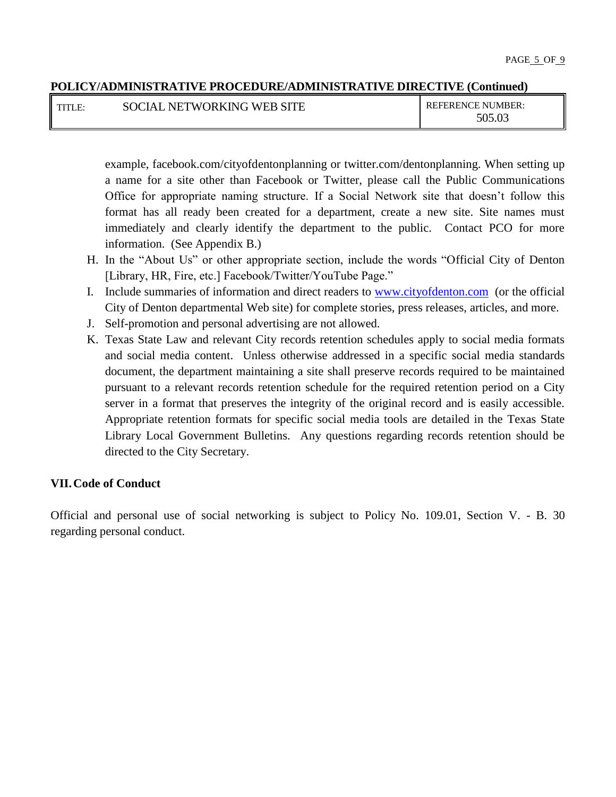| <b>TITLE:</b> | SOCIAL NETWORKING WEB SITE | <b>REFERENCE NUMBER:</b> |
|---------------|----------------------------|--------------------------|
|               |                            | 505.03                   |

example, facebook.com/cityofdentonplanning or twitter.com/dentonplanning. When setting up a name for a site other than Facebook or Twitter, please call the Public Communications Office for appropriate naming structure. If a Social Network site that doesn't follow this format has all ready been created for a department, create a new site. Site names must immediately and clearly identify the department to the public. Contact PCO for more information. (See Appendix B.)

- H. In the "About Us" or other appropriate section, include the words "Official City of Denton [Library, HR, Fire, etc.] Facebook/Twitter/YouTube Page."
- I. Include summaries of information and direct readers to [www.cityofdenton.com](http://www.cityofdenton.com/) (or the official City of Denton departmental Web site) for complete stories, press releases, articles, and more.
- J. Self-promotion and personal advertising are not allowed.
- K. Texas State Law and relevant City records retention schedules apply to social media formats and social media content. Unless otherwise addressed in a specific social media standards document, the department maintaining a site shall preserve records required to be maintained pursuant to a relevant records retention schedule for the required retention period on a City server in a format that preserves the integrity of the original record and is easily accessible. Appropriate retention formats for specific social media tools are detailed in the Texas State Library Local Government Bulletins. Any questions regarding records retention should be directed to the City Secretary.

## **VII.Code of Conduct**

Official and personal use of social networking is subject to Policy No. 109.01, Section V. - B. 30 regarding personal conduct.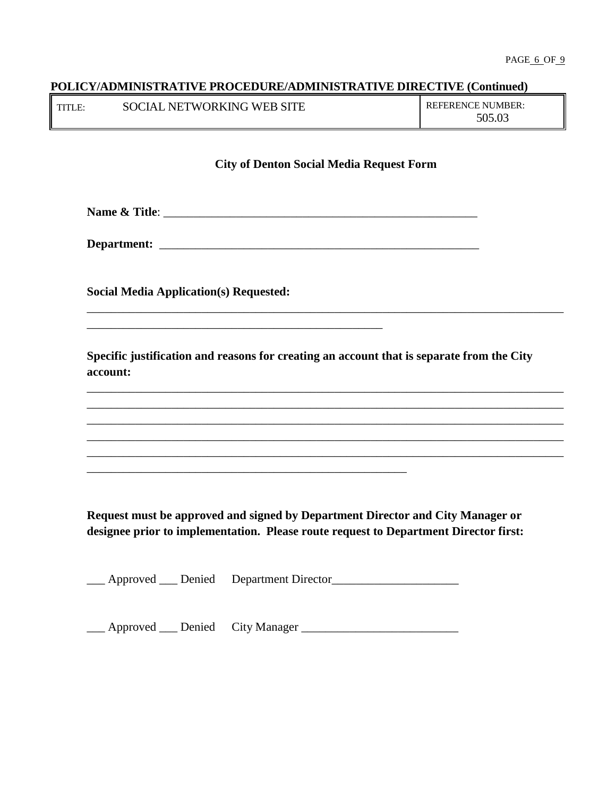| TITLE: | SOCIAL NETWORKING WEB SITE | <b>REFERENCE NUMBER:</b> |
|--------|----------------------------|--------------------------|
|        |                            | 505.03                   |

#### **City of Denton Social Media Request Form**

**Name & Title**: \_\_\_\_\_\_\_\_\_\_\_\_\_\_\_\_\_\_\_\_\_\_\_\_\_\_\_\_\_\_\_\_\_\_\_\_\_\_\_\_\_\_\_\_\_\_\_\_\_\_\_\_

**Department:** \_\_\_\_\_\_\_\_\_\_\_\_\_\_\_\_\_\_\_\_\_\_\_\_\_\_\_\_\_\_\_\_\_\_\_\_\_\_\_\_\_\_\_\_\_\_\_\_\_\_\_\_\_

**Social Media Application(s) Requested:** 

\_\_\_\_\_\_\_\_\_\_\_\_\_\_\_\_\_\_\_\_\_\_\_\_\_\_\_\_\_\_\_\_\_\_\_\_\_\_\_\_\_\_\_\_\_\_\_\_\_

\_\_\_\_\_\_\_\_\_\_\_\_\_\_\_\_\_\_\_\_\_\_\_\_\_\_\_\_\_\_\_\_\_\_\_\_\_\_\_\_\_\_\_\_\_\_\_\_\_\_\_\_\_

**Specific justification and reasons for creating an account that is separate from the City account:**

\_\_\_\_\_\_\_\_\_\_\_\_\_\_\_\_\_\_\_\_\_\_\_\_\_\_\_\_\_\_\_\_\_\_\_\_\_\_\_\_\_\_\_\_\_\_\_\_\_\_\_\_\_\_\_\_\_\_\_\_\_\_\_\_\_\_\_\_\_\_\_\_\_\_\_\_\_\_\_

\_\_\_\_\_\_\_\_\_\_\_\_\_\_\_\_\_\_\_\_\_\_\_\_\_\_\_\_\_\_\_\_\_\_\_\_\_\_\_\_\_\_\_\_\_\_\_\_\_\_\_\_\_\_\_\_\_\_\_\_\_\_\_\_\_\_\_\_\_\_\_\_\_\_\_\_\_\_\_ \_\_\_\_\_\_\_\_\_\_\_\_\_\_\_\_\_\_\_\_\_\_\_\_\_\_\_\_\_\_\_\_\_\_\_\_\_\_\_\_\_\_\_\_\_\_\_\_\_\_\_\_\_\_\_\_\_\_\_\_\_\_\_\_\_\_\_\_\_\_\_\_\_\_\_\_\_\_\_ \_\_\_\_\_\_\_\_\_\_\_\_\_\_\_\_\_\_\_\_\_\_\_\_\_\_\_\_\_\_\_\_\_\_\_\_\_\_\_\_\_\_\_\_\_\_\_\_\_\_\_\_\_\_\_\_\_\_\_\_\_\_\_\_\_\_\_\_\_\_\_\_\_\_\_\_\_\_\_ \_\_\_\_\_\_\_\_\_\_\_\_\_\_\_\_\_\_\_\_\_\_\_\_\_\_\_\_\_\_\_\_\_\_\_\_\_\_\_\_\_\_\_\_\_\_\_\_\_\_\_\_\_\_\_\_\_\_\_\_\_\_\_\_\_\_\_\_\_\_\_\_\_\_\_\_\_\_\_ \_\_\_\_\_\_\_\_\_\_\_\_\_\_\_\_\_\_\_\_\_\_\_\_\_\_\_\_\_\_\_\_\_\_\_\_\_\_\_\_\_\_\_\_\_\_\_\_\_\_\_\_\_\_\_\_\_\_\_\_\_\_\_\_\_\_\_\_\_\_\_\_\_\_\_\_\_\_\_

**Request must be approved and signed by Department Director and City Manager or designee prior to implementation. Please route request to Department Director first:**

\_\_\_ Approved \_\_\_ Denied Department Director\_\_\_\_\_\_\_\_\_\_\_\_\_\_\_\_\_\_\_\_\_

\_\_\_ Approved \_\_\_ Denied City Manager \_\_\_\_\_\_\_\_\_\_\_\_\_\_\_\_\_\_\_\_\_\_\_\_\_\_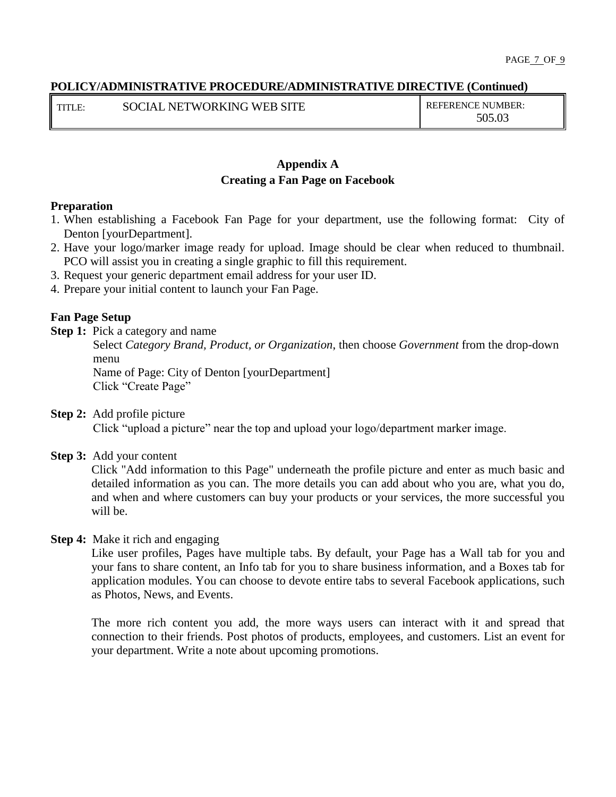TITLE: SOCIAL NETWORKING WEB SITE REFERENCE NUMBER:

505.03

# **Appendix A Creating a Fan Page on Facebook**

#### **Preparation**

- 1. When establishing a Facebook Fan Page for your department, use the following format: City of Denton [yourDepartment].
- 2. Have your logo/marker image ready for upload. Image should be clear when reduced to thumbnail. PCO will assist you in creating a single graphic to fill this requirement.
- 3. Request your generic department email address for your user ID.
- 4. Prepare your initial content to launch your Fan Page.

## **Fan Page Setup**

**Step 1:** Pick a category and name

Select *Category Brand, Product, or Organization*, then choose *Government* from the drop-down menu

 Name of Page: City of Denton [yourDepartment] Click "Create Page"

**Step 2:** Add profile picture

Click "upload a picture" near the top and upload your logo/department marker image.

**Step 3:** Add your content

Click "Add information to this Page" underneath the profile picture and enter as much basic and detailed information as you can. The more details you can add about who you are, what you do, and when and where customers can buy your products or your services, the more successful you will be.

**Step 4:** Make it rich and engaging

Like user profiles, Pages have multiple tabs. By default, your Page has a Wall tab for you and your fans to share content, an Info tab for you to share business information, and a Boxes tab for application modules. You can choose to devote entire tabs to several Facebook applications, such as Photos, News, and Events.

The more rich content you add, the more ways users can interact with it and spread that connection to their friends. Post photos of products, employees, and customers. List an event for your department. Write a note about upcoming promotions.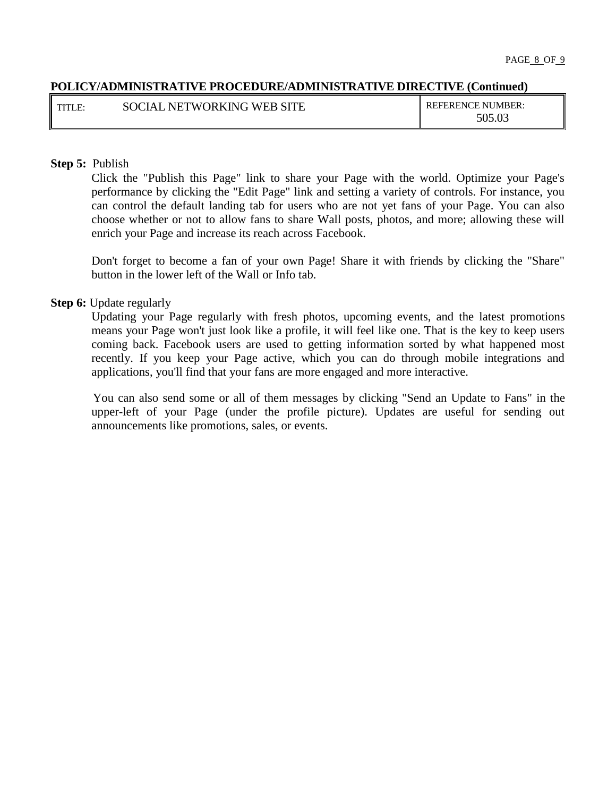| <b>TITLE:</b> | SOCIAL NETWORKING WEB SITE | <b>REFERENCE NUMBER:</b> |
|---------------|----------------------------|--------------------------|
|               |                            | 505.03                   |

#### **Step 5:** Publish

Click the "Publish this Page" link to share your Page with the world. Optimize your Page's performance by clicking the "Edit Page" link and setting a variety of controls. For instance, you can control the default landing tab for users who are not yet fans of your Page. You can also choose whether or not to allow fans to share Wall posts, photos, and more; allowing these will enrich your Page and increase its reach across Facebook.

Don't forget to become a fan of your own Page! Share it with friends by clicking the "Share" button in the lower left of the Wall or Info tab.

#### **Step 6:** Update regularly

Updating your Page regularly with fresh photos, upcoming events, and the latest promotions means your Page won't just look like a profile, it will feel like one. That is the key to keep users coming back. Facebook users are used to getting information sorted by what happened most recently. If you keep your Page active, which you can do through mobile integrations and applications, you'll find that your fans are more engaged and more interactive.

 You can also send some or all of them messages by clicking "Send an Update to Fans" in the upper-left of your Page (under the profile picture). Updates are useful for sending out announcements like promotions, sales, or events.